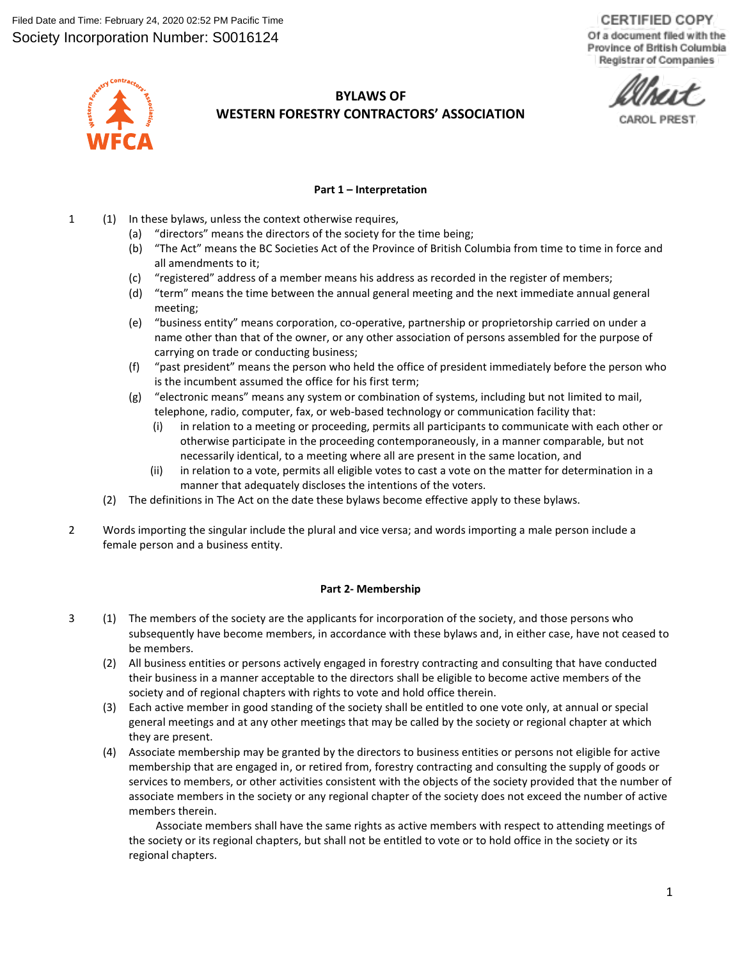**CERTIFIED COPY** Of a document filed with the Province of British Columbia Registrar of Companies



# **BYLAWS OF WESTERN FORESTRY CONTRACTORS' ASSOCIATION**

**Part 1 – Interpretation**

- 1 (1) In these bylaws, unless the context otherwise requires,
	- (a) "directors" means the directors of the society for the time being;
	- (b) "The Act" means the BC Societies Act of the Province of British Columbia from time to time in force and all amendments to it;
	- (c) "registered" address of a member means his address as recorded in the register of members;
	- (d) "term" means the time between the annual general meeting and the next immediate annual general meeting;
	- (e) "business entity" means corporation, co-operative, partnership or proprietorship carried on under a name other than that of the owner, or any other association of persons assembled for the purpose of carrying on trade or conducting business;
	- (f) "past president" means the person who held the office of president immediately before the person who is the incumbent assumed the office for his first term;
	- (g) "electronic means" means any system or combination of systems, including but not limited to mail, telephone, radio, computer, fax, or web-based technology or communication facility that:
		- (i) in relation to a meeting or proceeding, permits all participants to communicate with each other or otherwise participate in the proceeding contemporaneously, in a manner comparable, but not necessarily identical, to a meeting where all are present in the same location, and
		- (ii) in relation to a vote, permits all eligible votes to cast a vote on the matter for determination in a manner that adequately discloses the intentions of the voters.
	- (2) The definitions in The Act on the date these bylaws become effective apply to these bylaws.
- 2 Words importing the singular include the plural and vice versa; and words importing a male person include a female person and a business entity.

#### **Part 2- Membership**

- 3 (1) The members of the society are the applicants for incorporation of the society, and those persons who subsequently have become members, in accordance with these bylaws and, in either case, have not ceased to be members.
	- (2) All business entities or persons actively engaged in forestry contracting and consulting that have conducted their business in a manner acceptable to the directors shall be eligible to become active members of the society and of regional chapters with rights to vote and hold office therein.
	- (3) Each active member in good standing of the society shall be entitled to one vote only, at annual or special general meetings and at any other meetings that may be called by the society or regional chapter at which they are present.
	- (4) Associate membership may be granted by the directors to business entities or persons not eligible for active membership that are engaged in, or retired from, forestry contracting and consulting the supply of goods or services to members, or other activities consistent with the objects of the society provided that the number of associate members in the society or any regional chapter of the society does not exceed the number of active members therein.

Associate members shall have the same rights as active members with respect to attending meetings of the society or its regional chapters, but shall not be entitled to vote or to hold office in the society or its regional chapters.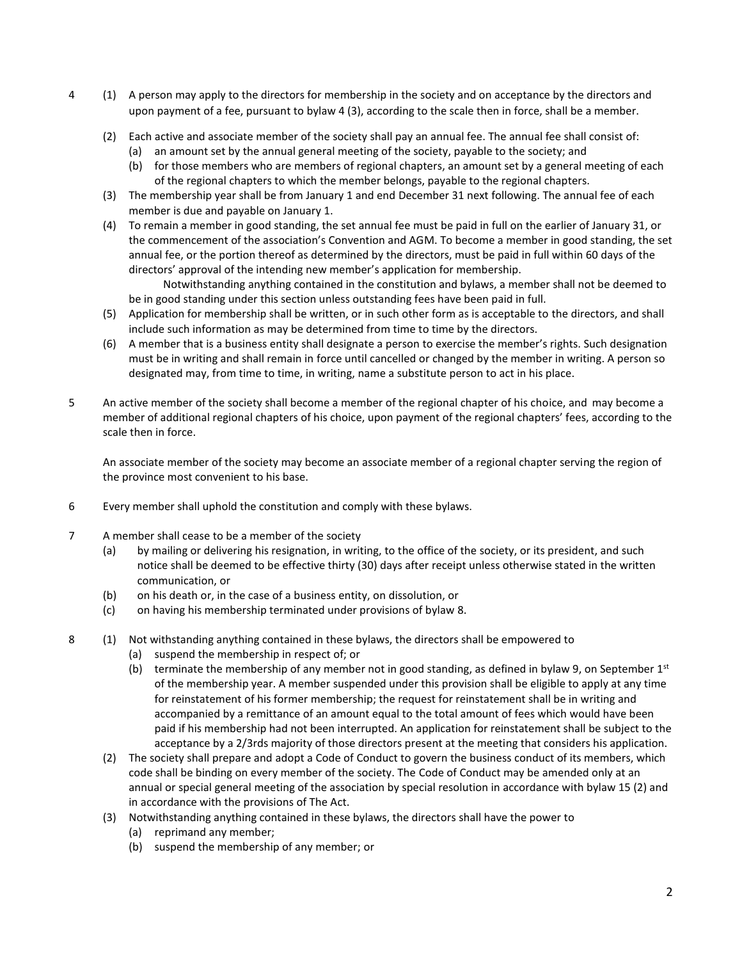- 4 (1) A person may apply to the directors for membership in the society and on acceptance by the directors and upon payment of a fee, pursuant to bylaw 4 (3), according to the scale then in force, shall be a member.
	- (2) Each active and associate member of the society shall pay an annual fee. The annual fee shall consist of:
		- (a) an amount set by the annual general meeting of the society, payable to the society; and
		- (b) for those members who are members of regional chapters, an amount set by a general meeting of each of the regional chapters to which the member belongs, payable to the regional chapters.
	- (3) The membership year shall be from January 1 and end December 31 next following. The annual fee of each member is due and payable on January 1.
	- (4) To remain a member in good standing, the set annual fee must be paid in full on the earlier of January 31, or the commencement of the association's Convention and AGM. To become a member in good standing, the set annual fee, or the portion thereof as determined by the directors, must be paid in full within 60 days of the directors' approval of the intending new member's application for membership.

Notwithstanding anything contained in the constitution and bylaws, a member shall not be deemed to be in good standing under this section unless outstanding fees have been paid in full.

- (5) Application for membership shall be written, or in such other form as is acceptable to the directors, and shall include such information as may be determined from time to time by the directors.
- (6) A member that is a business entity shall designate a person to exercise the member's rights. Such designation must be in writing and shall remain in force until cancelled or changed by the member in writing. A person so designated may, from time to time, in writing, name a substitute person to act in his place.
- 5 An active member of the society shall become a member of the regional chapter of his choice, and may become a member of additional regional chapters of his choice, upon payment of the regional chapters' fees, according to the scale then in force.

An associate member of the society may become an associate member of a regional chapter serving the region of the province most convenient to his base.

- 6 Every member shall uphold the constitution and comply with these bylaws.
- 7 A member shall cease to be a member of the society
	- (a) by mailing or delivering his resignation, in writing, to the office of the society, or its president, and such notice shall be deemed to be effective thirty (30) days after receipt unless otherwise stated in the written communication, or
	- (b) on his death or, in the case of a business entity, on dissolution, or
	- (c) on having his membership terminated under provisions of bylaw 8.
- 8 (1) Not withstanding anything contained in these bylaws, the directors shall be empowered to
	- (a) suspend the membership in respect of; or
	- (b) terminate the membership of any member not in good standing, as defined in bylaw 9, on September  $1^{st}$ of the membership year. A member suspended under this provision shall be eligible to apply at any time for reinstatement of his former membership; the request for reinstatement shall be in writing and accompanied by a remittance of an amount equal to the total amount of fees which would have been paid if his membership had not been interrupted. An application for reinstatement shall be subject to the acceptance by a 2/3rds majority of those directors present at the meeting that considers his application.
	- (2) The society shall prepare and adopt a Code of Conduct to govern the business conduct of its members, which code shall be binding on every member of the society. The Code of Conduct may be amended only at an annual or special general meeting of the association by special resolution in accordance with bylaw 15 (2) and in accordance with the provisions of The Act.
	- (3) Notwithstanding anything contained in these bylaws, the directors shall have the power to
		- (a) reprimand any member;
		- (b) suspend the membership of any member; or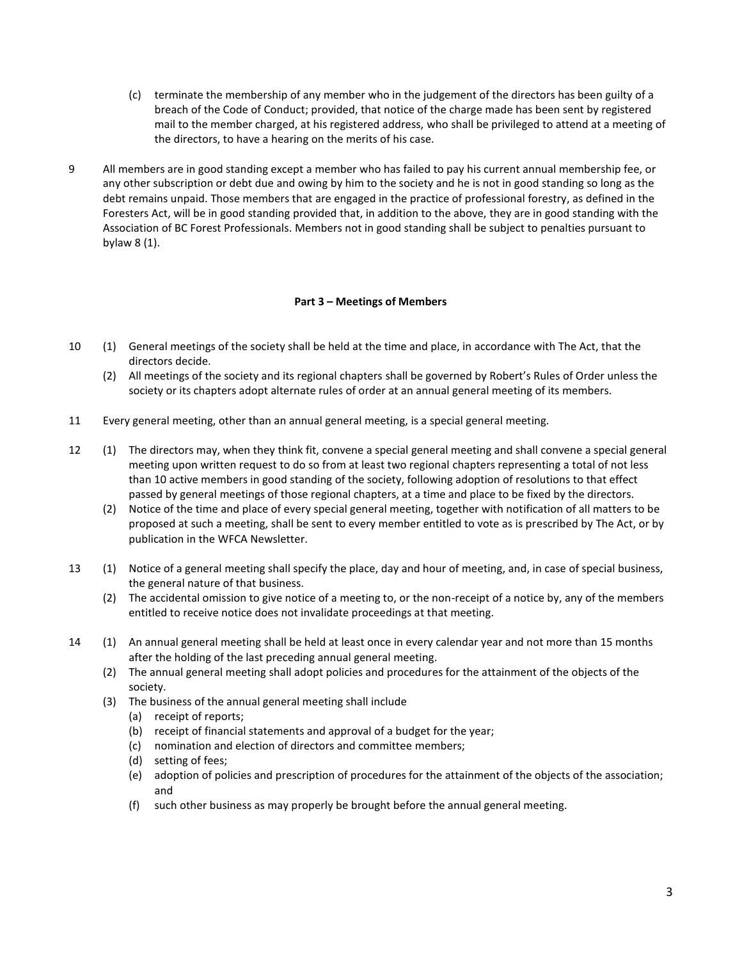- (c) terminate the membership of any member who in the judgement of the directors has been guilty of a breach of the Code of Conduct; provided, that notice of the charge made has been sent by registered mail to the member charged, at his registered address, who shall be privileged to attend at a meeting of the directors, to have a hearing on the merits of his case.
- 9 All members are in good standing except a member who has failed to pay his current annual membership fee, or any other subscription or debt due and owing by him to the society and he is not in good standing so long as the debt remains unpaid. Those members that are engaged in the practice of professional forestry, as defined in the Foresters Act, will be in good standing provided that, in addition to the above, they are in good standing with the Association of BC Forest Professionals. Members not in good standing shall be subject to penalties pursuant to bylaw 8 (1).

# **Part 3 – Meetings of Members**

- 10 (1) General meetings of the society shall be held at the time and place, in accordance with The Act, that the directors decide.
	- (2) All meetings of the society and its regional chapters shall be governed by Robert's Rules of Order unless the society or its chapters adopt alternate rules of order at an annual general meeting of its members.
- 11 Every general meeting, other than an annual general meeting, is a special general meeting.
- 12 (1) The directors may, when they think fit, convene a special general meeting and shall convene a special general meeting upon written request to do so from at least two regional chapters representing a total of not less than 10 active members in good standing of the society, following adoption of resolutions to that effect passed by general meetings of those regional chapters, at a time and place to be fixed by the directors.
	- (2) Notice of the time and place of every special general meeting, together with notification of all matters to be proposed at such a meeting, shall be sent to every member entitled to vote as is prescribed by The Act, or by publication in the WFCA Newsletter.
- 13 (1) Notice of a general meeting shall specify the place, day and hour of meeting, and, in case of special business, the general nature of that business.
	- (2) The accidental omission to give notice of a meeting to, or the non-receipt of a notice by, any of the members entitled to receive notice does not invalidate proceedings at that meeting.
- 14 (1) An annual general meeting shall be held at least once in every calendar year and not more than 15 months after the holding of the last preceding annual general meeting.
	- (2) The annual general meeting shall adopt policies and procedures for the attainment of the objects of the society.
	- (3) The business of the annual general meeting shall include
		- (a) receipt of reports;
		- (b) receipt of financial statements and approval of a budget for the year;
		- (c) nomination and election of directors and committee members;
		- (d) setting of fees;
		- (e) adoption of policies and prescription of procedures for the attainment of the objects of the association; and
		- (f) such other business as may properly be brought before the annual general meeting.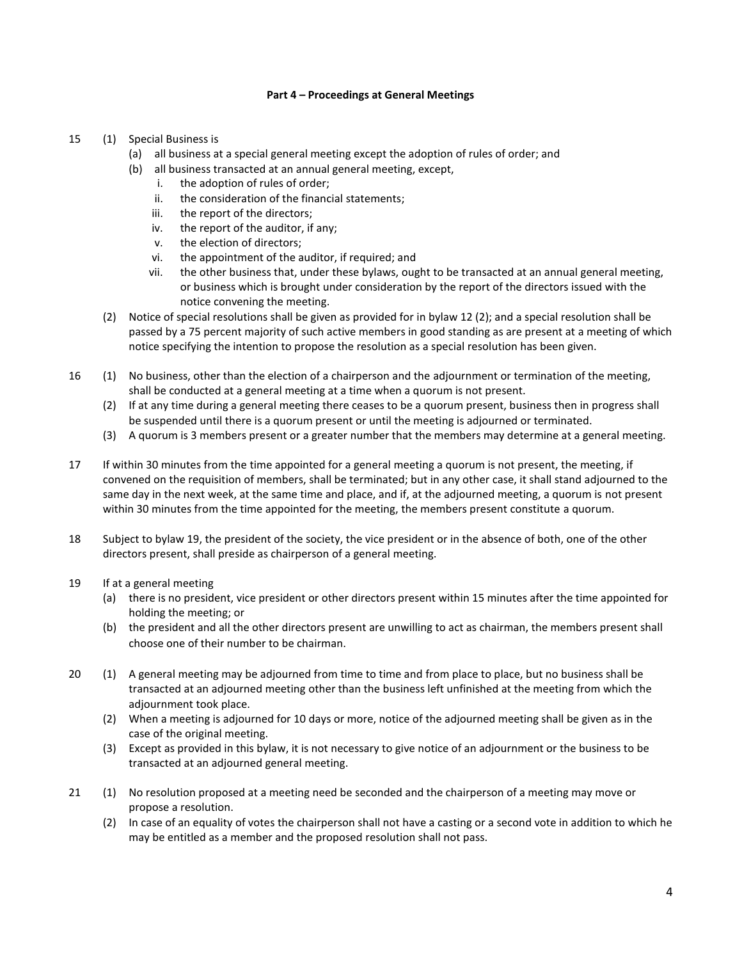## **Part 4 – Proceedings at General Meetings**

- 15 (1) Special Business is
	- (a) all business at a special general meeting except the adoption of rules of order; and
		- (b) all business transacted at an annual general meeting, except,
			- i. the adoption of rules of order;
			- ii. the consideration of the financial statements;
			- iii. the report of the directors;
			- iv. the report of the auditor, if any;
			- v. the election of directors;
			- vi. the appointment of the auditor, if required; and
			- vii. the other business that, under these bylaws, ought to be transacted at an annual general meeting, or business which is brought under consideration by the report of the directors issued with the notice convening the meeting.
	- (2) Notice of special resolutions shall be given as provided for in bylaw 12 (2); and a special resolution shall be passed by a 75 percent majority of such active members in good standing as are present at a meeting of which notice specifying the intention to propose the resolution as a special resolution has been given.
- 16 (1) No business, other than the election of a chairperson and the adjournment or termination of the meeting, shall be conducted at a general meeting at a time when a quorum is not present.
	- (2) If at any time during a general meeting there ceases to be a quorum present, business then in progress shall be suspended until there is a quorum present or until the meeting is adjourned or terminated.
	- (3) A quorum is 3 members present or a greater number that the members may determine at a general meeting.
- 17 If within 30 minutes from the time appointed for a general meeting a quorum is not present, the meeting, if convened on the requisition of members, shall be terminated; but in any other case, it shall stand adjourned to the same day in the next week, at the same time and place, and if, at the adjourned meeting, a quorum is not present within 30 minutes from the time appointed for the meeting, the members present constitute a quorum.
- 18 Subject to bylaw 19, the president of the society, the vice president or in the absence of both, one of the other directors present, shall preside as chairperson of a general meeting.
- 19 If at a general meeting
	- (a) there is no president, vice president or other directors present within 15 minutes after the time appointed for holding the meeting; or
	- (b) the president and all the other directors present are unwilling to act as chairman, the members present shall choose one of their number to be chairman.
- 20 (1) A general meeting may be adjourned from time to time and from place to place, but no business shall be transacted at an adjourned meeting other than the business left unfinished at the meeting from which the adjournment took place.
	- (2) When a meeting is adjourned for 10 days or more, notice of the adjourned meeting shall be given as in the case of the original meeting.
	- (3) Except as provided in this bylaw, it is not necessary to give notice of an adjournment or the business to be transacted at an adjourned general meeting.
- 21 (1) No resolution proposed at a meeting need be seconded and the chairperson of a meeting may move or propose a resolution.
	- (2) In case of an equality of votes the chairperson shall not have a casting or a second vote in addition to which he may be entitled as a member and the proposed resolution shall not pass.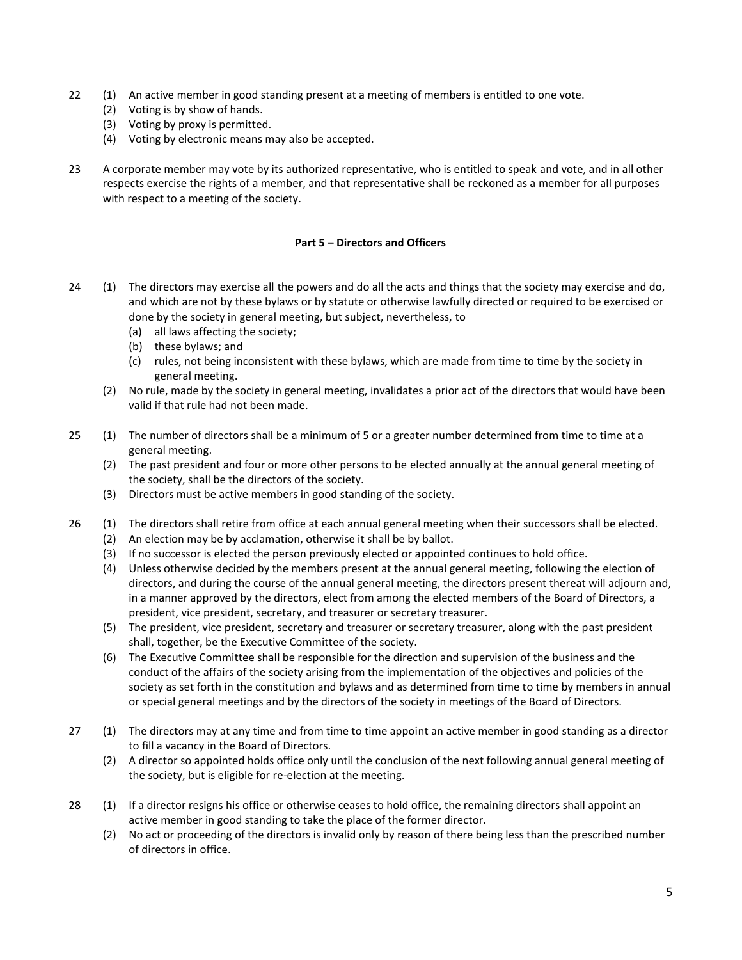- 22 (1) An active member in good standing present at a meeting of members is entitled to one vote.
	- (2) Voting is by show of hands.
	- (3) Voting by proxy is permitted.
	- (4) Voting by electronic means may also be accepted.
- 23 A corporate member may vote by its authorized representative, who is entitled to speak and vote, and in all other respects exercise the rights of a member, and that representative shall be reckoned as a member for all purposes with respect to a meeting of the society.

# **Part 5 – Directors and Officers**

- 24 (1) The directors may exercise all the powers and do all the acts and things that the society may exercise and do, and which are not by these bylaws or by statute or otherwise lawfully directed or required to be exercised or done by the society in general meeting, but subject, nevertheless, to
	- (a) all laws affecting the society;
	- (b) these bylaws; and
	- (c) rules, not being inconsistent with these bylaws, which are made from time to time by the society in general meeting.
	- (2) No rule, made by the society in general meeting, invalidates a prior act of the directors that would have been valid if that rule had not been made.
- 25 (1) The number of directors shall be a minimum of 5 or a greater number determined from time to time at a general meeting.
	- (2) The past president and four or more other persons to be elected annually at the annual general meeting of the society, shall be the directors of the society.
	- (3) Directors must be active members in good standing of the society.
- 26 (1) The directors shall retire from office at each annual general meeting when their successors shall be elected.
	- (2) An election may be by acclamation, otherwise it shall be by ballot.
	- (3) If no successor is elected the person previously elected or appointed continues to hold office.
	- (4) Unless otherwise decided by the members present at the annual general meeting, following the election of directors, and during the course of the annual general meeting, the directors present thereat will adjourn and, in a manner approved by the directors, elect from among the elected members of the Board of Directors, a president, vice president, secretary, and treasurer or secretary treasurer.
	- (5) The president, vice president, secretary and treasurer or secretary treasurer, along with the past president shall, together, be the Executive Committee of the society.
	- (6) The Executive Committee shall be responsible for the direction and supervision of the business and the conduct of the affairs of the society arising from the implementation of the objectives and policies of the society as set forth in the constitution and bylaws and as determined from time to time by members in annual or special general meetings and by the directors of the society in meetings of the Board of Directors.
- 27 (1) The directors may at any time and from time to time appoint an active member in good standing as a director to fill a vacancy in the Board of Directors.
	- (2) A director so appointed holds office only until the conclusion of the next following annual general meeting of the society, but is eligible for re-election at the meeting.
- 28 (1) If a director resigns his office or otherwise ceases to hold office, the remaining directors shall appoint an active member in good standing to take the place of the former director.
	- (2) No act or proceeding of the directors is invalid only by reason of there being less than the prescribed number of directors in office.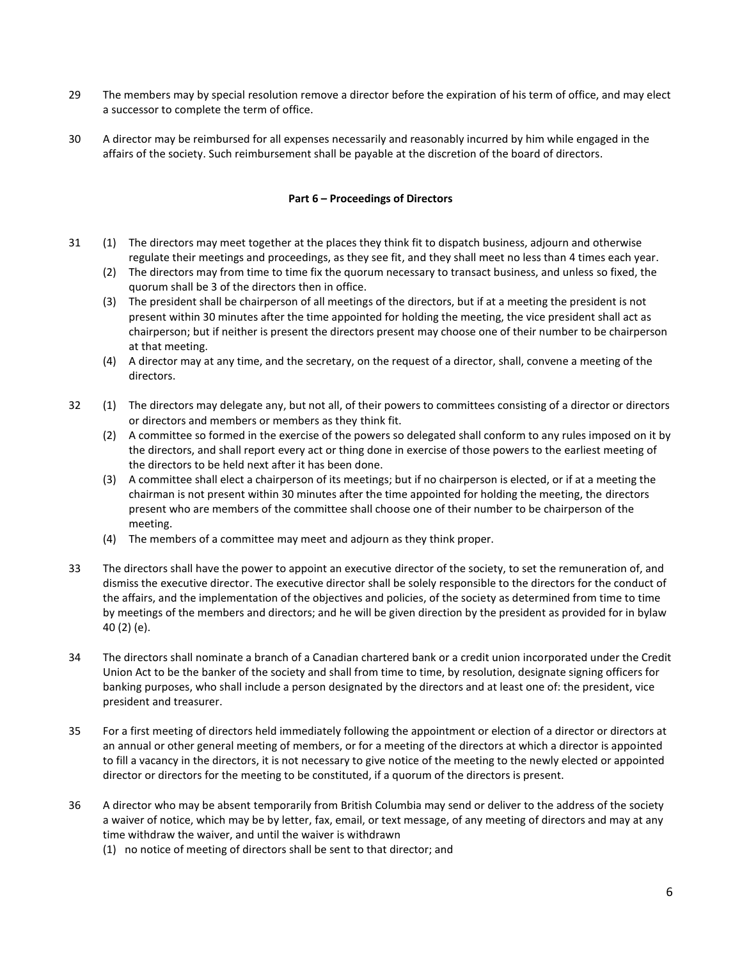- 29 The members may by special resolution remove a director before the expiration of his term of office, and may elect a successor to complete the term of office.
- 30 A director may be reimbursed for all expenses necessarily and reasonably incurred by him while engaged in the affairs of the society. Such reimbursement shall be payable at the discretion of the board of directors.

## **Part 6 – Proceedings of Directors**

- 31 (1) The directors may meet together at the places they think fit to dispatch business, adjourn and otherwise regulate their meetings and proceedings, as they see fit, and they shall meet no less than 4 times each year.
	- (2) The directors may from time to time fix the quorum necessary to transact business, and unless so fixed, the quorum shall be 3 of the directors then in office.
	- (3) The president shall be chairperson of all meetings of the directors, but if at a meeting the president is not present within 30 minutes after the time appointed for holding the meeting, the vice president shall act as chairperson; but if neither is present the directors present may choose one of their number to be chairperson at that meeting.
	- (4) A director may at any time, and the secretary, on the request of a director, shall, convene a meeting of the directors.
- 32 (1) The directors may delegate any, but not all, of their powers to committees consisting of a director or directors or directors and members or members as they think fit.
	- (2) A committee so formed in the exercise of the powers so delegated shall conform to any rules imposed on it by the directors, and shall report every act or thing done in exercise of those powers to the earliest meeting of the directors to be held next after it has been done.
	- (3) A committee shall elect a chairperson of its meetings; but if no chairperson is elected, or if at a meeting the chairman is not present within 30 minutes after the time appointed for holding the meeting, the directors present who are members of the committee shall choose one of their number to be chairperson of the meeting.
	- (4) The members of a committee may meet and adjourn as they think proper.
- 33 The directors shall have the power to appoint an executive director of the society, to set the remuneration of, and dismiss the executive director. The executive director shall be solely responsible to the directors for the conduct of the affairs, and the implementation of the objectives and policies, of the society as determined from time to time by meetings of the members and directors; and he will be given direction by the president as provided for in bylaw 40 (2) (e).
- 34 The directors shall nominate a branch of a Canadian chartered bank or a credit union incorporated under the Credit Union Act to be the banker of the society and shall from time to time, by resolution, designate signing officers for banking purposes, who shall include a person designated by the directors and at least one of: the president, vice president and treasurer.
- 35 For a first meeting of directors held immediately following the appointment or election of a director or directors at an annual or other general meeting of members, or for a meeting of the directors at which a director is appointed to fill a vacancy in the directors, it is not necessary to give notice of the meeting to the newly elected or appointed director or directors for the meeting to be constituted, if a quorum of the directors is present.
- 36 A director who may be absent temporarily from British Columbia may send or deliver to the address of the society a waiver of notice, which may be by letter, fax, email, or text message, of any meeting of directors and may at any time withdraw the waiver, and until the waiver is withdrawn
	- (1) no notice of meeting of directors shall be sent to that director; and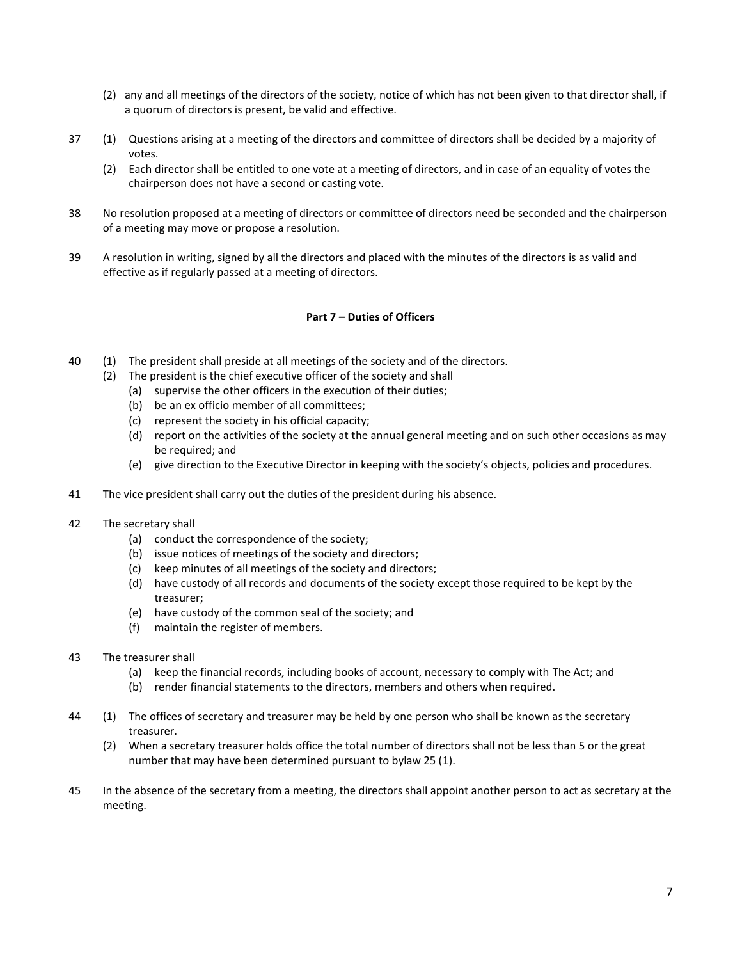- (2) any and all meetings of the directors of the society, notice of which has not been given to that director shall, if a quorum of directors is present, be valid and effective.
- 37 (1) Questions arising at a meeting of the directors and committee of directors shall be decided by a majority of votes.
	- (2) Each director shall be entitled to one vote at a meeting of directors, and in case of an equality of votes the chairperson does not have a second or casting vote.
- 38 No resolution proposed at a meeting of directors or committee of directors need be seconded and the chairperson of a meeting may move or propose a resolution.
- 39 A resolution in writing, signed by all the directors and placed with the minutes of the directors is as valid and effective as if regularly passed at a meeting of directors.

# **Part 7 – Duties of Officers**

- 40 (1) The president shall preside at all meetings of the society and of the directors.
	- (2) The president is the chief executive officer of the society and shall
		- (a) supervise the other officers in the execution of their duties;
		- (b) be an ex officio member of all committees;
		- (c) represent the society in his official capacity;
		- (d) report on the activities of the society at the annual general meeting and on such other occasions as may be required; and
		- (e) give direction to the Executive Director in keeping with the society's objects, policies and procedures.
- 41 The vice president shall carry out the duties of the president during his absence.
- 42 The secretary shall
	- (a) conduct the correspondence of the society;
	- (b) issue notices of meetings of the society and directors;
	- (c) keep minutes of all meetings of the society and directors;
	- (d) have custody of all records and documents of the society except those required to be kept by the treasurer;
	- (e) have custody of the common seal of the society; and
	- (f) maintain the register of members.
- 43 The treasurer shall
	- (a) keep the financial records, including books of account, necessary to comply with The Act; and
	- (b) render financial statements to the directors, members and others when required.
- 44 (1) The offices of secretary and treasurer may be held by one person who shall be known as the secretary treasurer.
	- (2) When a secretary treasurer holds office the total number of directors shall not be less than 5 or the great number that may have been determined pursuant to bylaw 25 (1).
- 45 In the absence of the secretary from a meeting, the directors shall appoint another person to act as secretary at the meeting.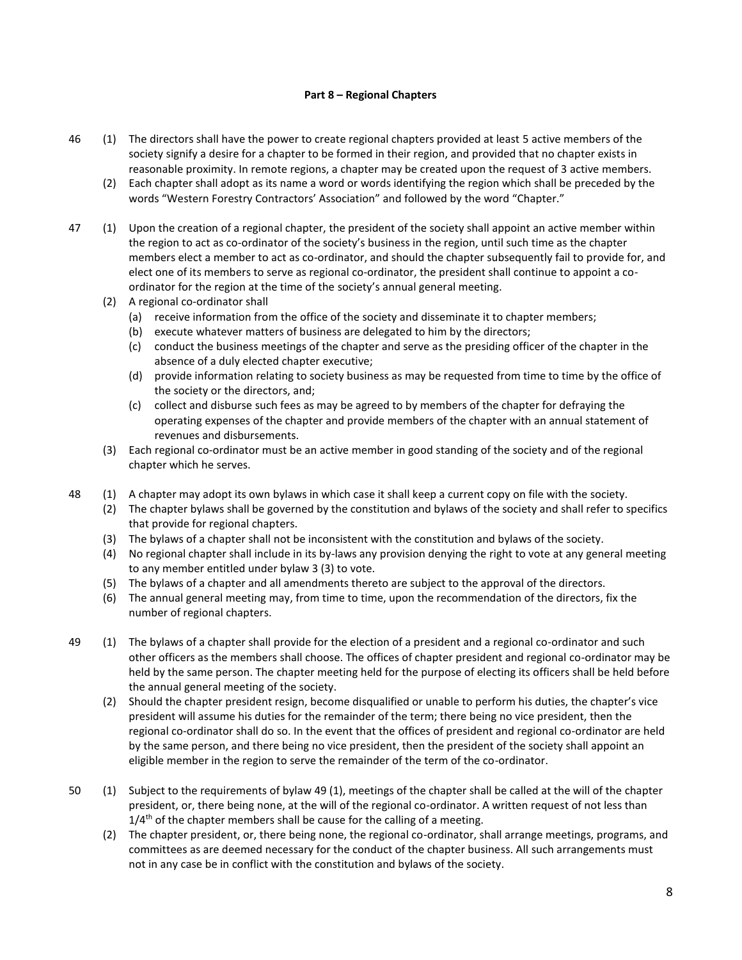## **Part 8 – Regional Chapters**

- 46 (1) The directors shall have the power to create regional chapters provided at least 5 active members of the society signify a desire for a chapter to be formed in their region, and provided that no chapter exists in reasonable proximity. In remote regions, a chapter may be created upon the request of 3 active members.
	- (2) Each chapter shall adopt as its name a word or words identifying the region which shall be preceded by the words "Western Forestry Contractors' Association" and followed by the word "Chapter."
- 47 (1) Upon the creation of a regional chapter, the president of the society shall appoint an active member within the region to act as co-ordinator of the society's business in the region, until such time as the chapter members elect a member to act as co-ordinator, and should the chapter subsequently fail to provide for, and elect one of its members to serve as regional co-ordinator, the president shall continue to appoint a coordinator for the region at the time of the society's annual general meeting.
	- (2) A regional co-ordinator shall
		- (a) receive information from the office of the society and disseminate it to chapter members;
		- (b) execute whatever matters of business are delegated to him by the directors;
		- (c) conduct the business meetings of the chapter and serve as the presiding officer of the chapter in the absence of a duly elected chapter executive;
		- (d) provide information relating to society business as may be requested from time to time by the office of the society or the directors, and;
		- (c) collect and disburse such fees as may be agreed to by members of the chapter for defraying the operating expenses of the chapter and provide members of the chapter with an annual statement of revenues and disbursements.
	- (3) Each regional co-ordinator must be an active member in good standing of the society and of the regional chapter which he serves.
- 48 (1) A chapter may adopt its own bylaws in which case it shall keep a current copy on file with the society.
	- (2) The chapter bylaws shall be governed by the constitution and bylaws of the society and shall refer to specifics that provide for regional chapters.
	- (3) The bylaws of a chapter shall not be inconsistent with the constitution and bylaws of the society.
	- (4) No regional chapter shall include in its by-laws any provision denying the right to vote at any general meeting to any member entitled under bylaw 3 (3) to vote.
	- (5) The bylaws of a chapter and all amendments thereto are subject to the approval of the directors.
	- (6) The annual general meeting may, from time to time, upon the recommendation of the directors, fix the number of regional chapters.
- 49 (1) The bylaws of a chapter shall provide for the election of a president and a regional co-ordinator and such other officers as the members shall choose. The offices of chapter president and regional co-ordinator may be held by the same person. The chapter meeting held for the purpose of electing its officers shall be held before the annual general meeting of the society.
	- (2) Should the chapter president resign, become disqualified or unable to perform his duties, the chapter's vice president will assume his duties for the remainder of the term; there being no vice president, then the regional co-ordinator shall do so. In the event that the offices of president and regional co-ordinator are held by the same person, and there being no vice president, then the president of the society shall appoint an eligible member in the region to serve the remainder of the term of the co-ordinator.
- 50 (1) Subject to the requirements of bylaw 49 (1), meetings of the chapter shall be called at the will of the chapter president, or, there being none, at the will of the regional co-ordinator. A written request of not less than  $1/4$ <sup>th</sup> of the chapter members shall be cause for the calling of a meeting.
	- (2) The chapter president, or, there being none, the regional co-ordinator, shall arrange meetings, programs, and committees as are deemed necessary for the conduct of the chapter business. All such arrangements must not in any case be in conflict with the constitution and bylaws of the society.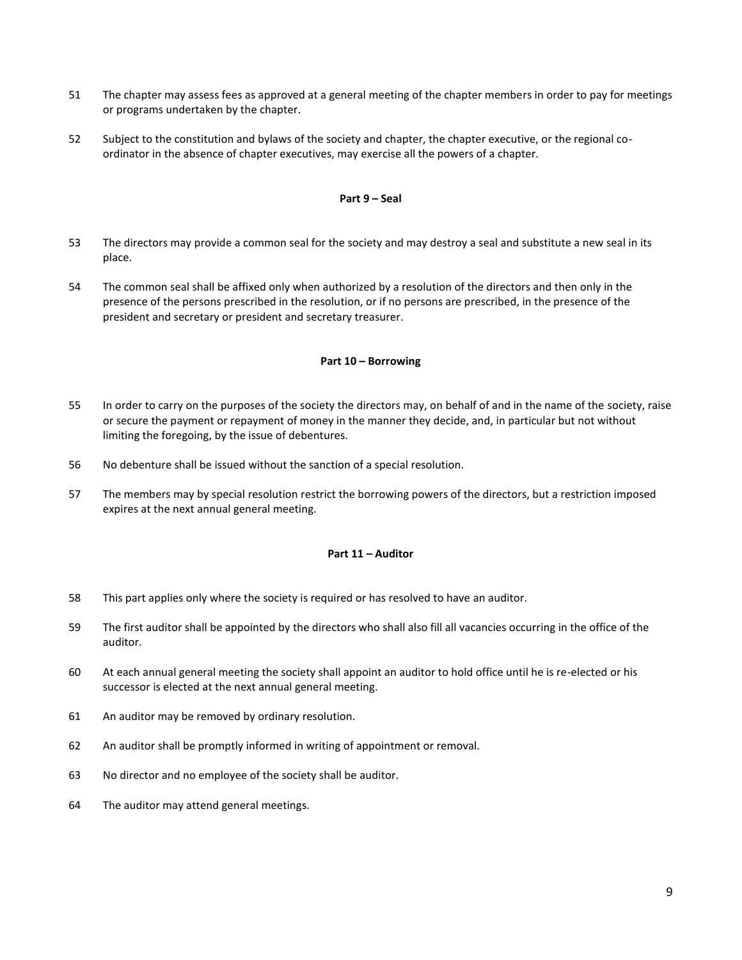- 51 The chapter may assess fees as approved at a general meeting of the chapter members in order to pay for meetings or programs undertaken by the chapter.
- 52 Subject to the constitution and bylaws of the society and chapter, the chapter executive, or the regional coordinator in the absence of chapter executives, may exercise all the powers of a chapter.

# **Part 9 – Seal**

- 53 The directors may provide a common seal for the society and may destroy a seal and substitute a new seal in its place.
- 54 The common seal shall be affixed only when authorized by a resolution of the directors and then only in the presence of the persons prescribed in the resolution, or if no persons are prescribed, in the presence of the president and secretary or president and secretary treasurer.

#### **Part 10 – Borrowing**

- 55 In order to carry on the purposes of the society the directors may, on behalf of and in the name of the society, raise or secure the payment or repayment of money in the manner they decide, and, in particular but not without limiting the foregoing, by the issue of debentures.
- 56 No debenture shall be issued without the sanction of a special resolution.
- 57 The members may by special resolution restrict the borrowing powers of the directors, but a restriction imposed expires at the next annual general meeting.

#### **Part 11 – Auditor**

- 58 This part applies only where the society is required or has resolved to have an auditor.
- 59 The first auditor shall be appointed by the directors who shall also fill all vacancies occurring in the office of the auditor.
- 60 At each annual general meeting the society shall appoint an auditor to hold office until he is re-elected or his successor is elected at the next annual general meeting.
- 61 An auditor may be removed by ordinary resolution.
- 62 An auditor shall be promptly informed in writing of appointment or removal.
- 63 No director and no employee of the society shall be auditor.
- 64 The auditor may attend general meetings.